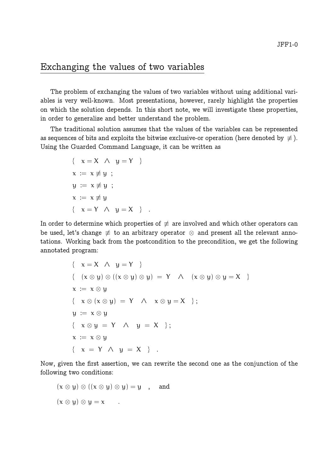# Exchanging the values of two variables

The problem of exchanging the values of two variables without using additional variables is very well-known. Most presentations, however, rarely highlight the properties on which the solution depends. In this short note, we will investigate these properties, in order to generalize and better understand the problem.

The traditional solution assumes that the values of the variables can be represented as sequences of bits and exploits the bitwise exclusive-or operation (here denoted by  $\neq$ ). Using the Guarded Command Language, it can be written as

$$
\{ x = X \land y = Y \}
$$
  
\n
$$
x := x \neq y ;
$$
  
\n
$$
y := x \neq y ;
$$
  
\n
$$
x := x \neq y
$$
  
\n
$$
\{ x = Y \land y = X \} .
$$

In order to determine which properties of  $\neq$  are involved and which other operators can be used, let's change  $\neq$  to an arbitrary operator  $\otimes$  and present all the relevant annotations. Working back from the postcondition to the precondition, we get the following annotated program:

$$
\{ x = X \land y = Y \}
$$
  

$$
\{ (x \otimes y) \otimes ((x \otimes y) \otimes y) = Y \land (x \otimes y) \otimes y = X \}
$$
  

$$
x := x \otimes y
$$
  

$$
\{ x \otimes (x \otimes y) = Y \land x \otimes y = X \};
$$
  

$$
y := x \otimes y
$$
  

$$
\{ x \otimes y = Y \land y = X \};
$$
  

$$
x := x \otimes y
$$
  

$$
\{ x = Y \land y = X \}.
$$

Now, given the first assertion, we can rewrite the second one as the conjunction of the following two conditions:

$$
(x \otimes y) \otimes ((x \otimes y) \otimes y) = y
$$
, and  
 $(x \otimes y) \otimes y = x$ .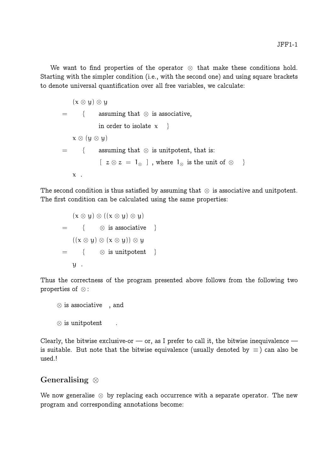We want to find properties of the operator ⊗ that make these conditions hold. Starting with the simpler condition (i.e., with the second one) and using square brackets to denote universal quantification over all free variables, we calculate:

$$
(\mathbf{x} \otimes \mathbf{y}) \otimes \mathbf{y}
$$
\n
$$
= \{ \text{ assuming that } \otimes \text{ is associative, } \}
$$
\n
$$
\mathbf{x} \otimes (\mathbf{y} \otimes \mathbf{y})
$$
\n
$$
= \{ \text{ assuming that } \otimes \text{ is unipotent, that is: } \mathbf{z} \otimes \mathbf{z} = \mathbf{1}_{\otimes} \}, \text{ where } \mathbf{1}_{\otimes} \text{ is the unit of } \otimes \}
$$
\n
$$
\mathbf{x} \ .
$$

The second condition is thus satisfied by assuming that  $\otimes$  is associative and unitpotent. The first condition can be calculated using the same properties:

 $(x \otimes y) \otimes ((x \otimes y) \otimes y)$  $=$  {  $\otimes$  is associative }  $((x \otimes y) \otimes (x \otimes y)) \otimes y$  $=$  {  $\otimes$  is unitpotent } y .

Thus the correctness of the program presented above follows from the following two properties of ⊗ :

```
\otimes is associative \; , and
\otimes is unitpotent .
```
Clearly, the bitwise exclusive-or  $-$  or, as I prefer to call it, the bitwise inequivalence  $$ is suitable. But note that the bitwise equivalence (usually denoted by  $\equiv$ ) can also be used.!

## Generalising ⊗

We now generalise  $\otimes$  by replacing each occurrence with a separate operator. The new program and corresponding annotations become: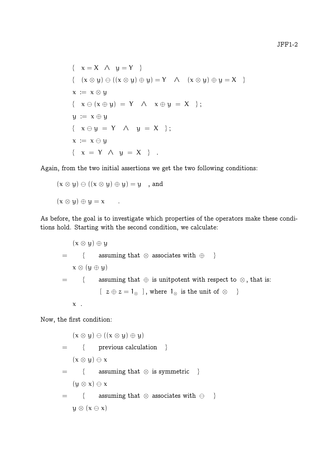$$
\{ x = X \land y = Y \}
$$
  

$$
\{ (x \otimes y) \ominus ((x \otimes y) \oplus y) = Y \land (x \otimes y) \oplus y = X \}
$$
  

$$
x := x \otimes y
$$
  

$$
\{ x \ominus (x \oplus y) = Y \land x \oplus y = X \};
$$
  

$$
y := x \oplus y
$$
  

$$
\{ x \ominus y = Y \land y = X \};
$$
  

$$
x := x \ominus y
$$
  

$$
\{ x = Y \land y = X \}.
$$

Again, from the two initial assertions we get the two following conditions:

$$
(x \otimes y) \ominus ((x \otimes y) \oplus y) = y
$$
, and  
 $(x \otimes y) \oplus y = x$ .

As before, the goal is to investigate which properties of the operators make these conditions hold. Starting with the second condition, we calculate:

$$
(x \otimes y) \oplus y
$$
\n
$$
= \{ \text{ assuming that } \otimes \text{ associates with } \oplus \}
$$
\n
$$
x \otimes (y \oplus y)
$$
\n
$$
= \{ \text{ assuming that } \oplus \text{ is unipotent with respect to } \otimes, \text{ that is:}
$$
\n
$$
[ z \oplus z = 1_{\otimes} ], \text{ where } 1_{\otimes} \text{ is the unit of } \otimes \}
$$
\n
$$
x .
$$

Now, the first condition:

$$
(\mathbf{x} \otimes \mathbf{y}) \ominus ((\mathbf{x} \otimes \mathbf{y}) \oplus \mathbf{y})
$$
\n
$$
= \{ \text{ previous calculation } \}
$$
\n
$$
(\mathbf{x} \otimes \mathbf{y}) \ominus \mathbf{x}
$$
\n
$$
= \{ \text{ assuming that } \otimes \text{ is symmetric } \}
$$
\n
$$
(\mathbf{y} \otimes \mathbf{x}) \ominus \mathbf{x}
$$
\n
$$
= \{ \text{ assuming that } \otimes \text{ associates with } \ominus \}
$$
\n
$$
\mathbf{y} \otimes (\mathbf{x} \ominus \mathbf{x})
$$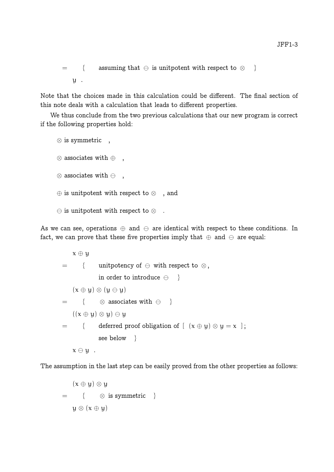```
= { assuming that \ominus is unitpotent with respect to \otimes }
   y.
```
Note that the choices made in this calculation could be different. The final section of this note deals with a calculation that leads to different properties.

We thus conclude from the two previous calculations that our new program is correct if the following properties hold:

```
⊗ is symmetric ,
\otimes associates with \oplus,
\otimes associates with \ominus,
⊕ is unitpotent with respect to ⊗ , and
\ominus is unitpotent with respect to \otimes.
```
As we can see, operations  $\oplus$  and  $\ominus$  are identical with respect to these conditions. In fact, we can prove that these five properties imply that  $\oplus$  and  $\ominus$  are equal:

x ⊕ y  $=$  { unitpotency of  $\ominus$  with respect to  $\otimes$ , in order to introduce  $\ominus$  }  $(x \oplus y) \otimes (y \ominus y)$  $=$  {  $\otimes$  associates with  $\ominus$  }  $((x \oplus y) \otimes y) \ominus y$ = { deferred proof obligation of  $[ (x \oplus y) \otimes y = x ]$ ; see below }  $x \ominus y$ .

The assumption in the last step can be easily proved from the other properties as follows:

$$
(x \oplus y) \otimes y
$$
  
= {  $\otimes$  is symmetric }  
 $y \otimes (x \oplus y)$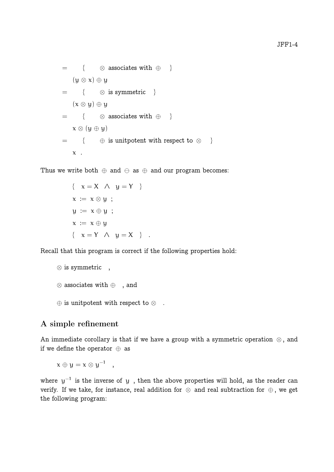$$
= \{ \otimes \text{ associates with } \oplus \}
$$
  
\n
$$
(y \otimes x) \oplus y
$$
  
\n
$$
= \{ \otimes \text{ is symmetric } \}
$$
  
\n
$$
(x \otimes y) \oplus y
$$
  
\n
$$
= \{ \otimes \text{ associates with } \oplus \}
$$
  
\n
$$
x \otimes (y \oplus y)
$$
  
\n
$$
= \{ \oplus \text{ is unipotent with respect to } \otimes \}
$$
  
\n
$$
x \in \{ \otimes \}
$$

Thus we write both  $\oplus$  and  $\ominus$  as  $\oplus$  and our program becomes:

 $\{ x = X \land y = Y \}$  $x := x \otimes y$ ;  $y := x \oplus y$ ;  $x := x \oplus y$  $\{ x = Y \land y = X \}$ .

Recall that this program is correct if the following properties hold:

```
⊗ is symmetric ,
⊗ associates with ⊕ , and
\oplus is unitpotent with respect to \otimes.
```
### A simple refinement

An immediate corollary is that if we have a group with a symmetric operation  $\otimes$ , and if we define the operator  $oplus$  as

$$
x \oplus y = x \otimes y^{-1} \quad ,
$$

where  $y^{-1}$  is the inverse of y, then the above properties will hold, as the reader can verify. If we take, for instance, real addition for  $\otimes$  and real subtraction for  $\oplus$ , we get the following program: